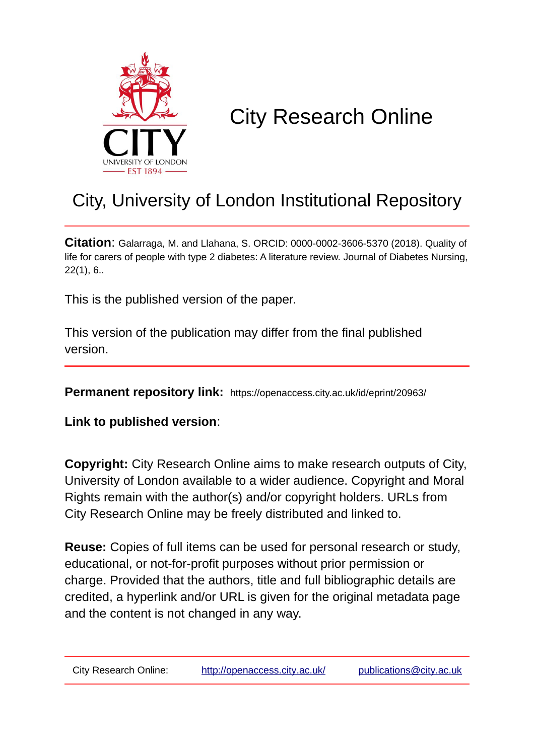

# City Research Online

# City, University of London Institutional Repository

**Citation**: Galarraga, M. and Llahana, S. ORCID: 0000-0002-3606-5370 (2018). Quality of life for carers of people with type 2 diabetes: A literature review. Journal of Diabetes Nursing, 22(1), 6..

This is the published version of the paper.

This version of the publication may differ from the final published version.

**Permanent repository link:** https://openaccess.city.ac.uk/id/eprint/20963/

**Link to published version**:

**Copyright:** City Research Online aims to make research outputs of City, University of London available to a wider audience. Copyright and Moral Rights remain with the author(s) and/or copyright holders. URLs from City Research Online may be freely distributed and linked to.

**Reuse:** Copies of full items can be used for personal research or study, educational, or not-for-profit purposes without prior permission or charge. Provided that the authors, title and full bibliographic details are credited, a hyperlink and/or URL is given for the original metadata page and the content is not changed in any way.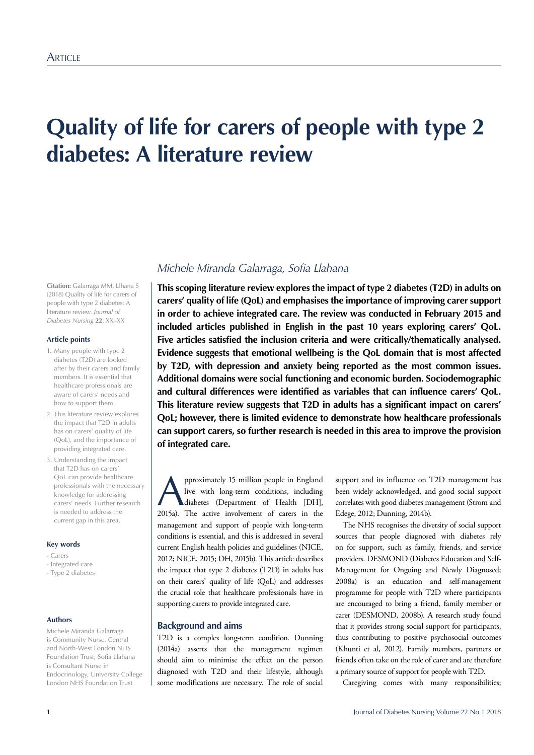# **Quality of life for carers of people with type 2 diabetes: A literature review**

**Citation:** Galarraga MM, Llhana S (2018) Quality of life for carers of people with type 2 diabetes: A literature review. *Journal of Diabetes Nursing* **22**: XX–XX

#### **Article points**

- 1. Many people with type 2 diabetes (T2D) are looked after by their carers and family members. It is essential that healthcare professionals are aware of carers' needs and how to support them.
- 2. This literature review explores the impact that T2D in adults has on carers' quality of life (QoL), and the importance of providing integrated care.
- 3. Understanding the impact that T2D has on carers' QoL can provide healthcare professionals with the necessary knowledge for addressing carers' needs. Further research is needed to address the current gap in this area.

#### **Key words**

- Carers
- Integrated care - Type 2 diabetes

#### **Authors**

Michele Miranda Galarraga is Community Nurse, Central and North-West London NHS Foundation Trust; Sofia Llahana is Consultant Nurse in Endocrinology, University College London NHS Foundation Trust

# *Michele Miranda Galarraga, Sofa Llahana*

**This scoping literature review explores the impact of type 2 diabetes (T2D) in adults on carers' quality of life (QoL) and emphasises the importance of improving carer support in order to achieve integrated care. The review was conducted in February 2015 and included articles published in English in the past 10 years exploring carers' QoL. Five articles satisfied the inclusion criteria and were critically/thematically analysed. Evidence suggests that emotional wellbeing is the QoL domain that is most affected by T2D, with depression and anxiety being reported as the most common issues. Additional domains were social functioning and economic burden. Sociodemographic and cultural differences were identified as variables that can influence carers' QoL. This literature review suggests that T2D in adults has a significant impact on carers' QoL; however, there is limited evidence to demonstrate how healthcare professionals can support carers, so further research is needed in this area to improve the provision of integrated care.** 

**A** pproximately 15 million people in England<br>live with long-term conditions, including<br>diabetes (Department of Health [DH],<br>2015a). The active involvement of carege in the live with long-term conditions, including 2015a). The active involvement of carers in the management and support of people with long-term conditions is essential, and this is addressed in several current English health policies and guidelines (NICE, 2012; NICE, 2015; DH, 2015b). This article describes the impact that type 2 diabetes (T2D) in adults has on their carers' quality of life (QoL) and addresses the crucial role that healthcare professionals have in supporting carers to provide integrated care.

### **Background and aims**

T2D is a complex long-term condition. Dunning (2014a) asserts that the management regimen should aim to minimise the effect on the person diagnosed with T2D and their lifestyle, although some modifications are necessary. The role of social

support and its influence on T2D management has been widely acknowledged, and good social support correlates with good diabetes management (Strom and Edege, 2012; Dunning, 2014b).

The NHS recognises the diversity of social support sources that people diagnosed with diabetes rely on for support, such as family, friends, and service providers. DESMOND (Diabetes Education and Self-Management for Ongoing and Newly Diagnosed; 2008a) is an education and self-management programme for people with T2D where participants are encouraged to bring a friend, family member or carer (DESMOND, 2008b). A research study found that it provides strong social support for participants, thus contributing to positive psychosocial outcomes (Khunti et al, 2012). Family members, partners or friends often take on the role of carer and are therefore a primary source of support for people with T2D.

Caregiving comes with many responsibilities;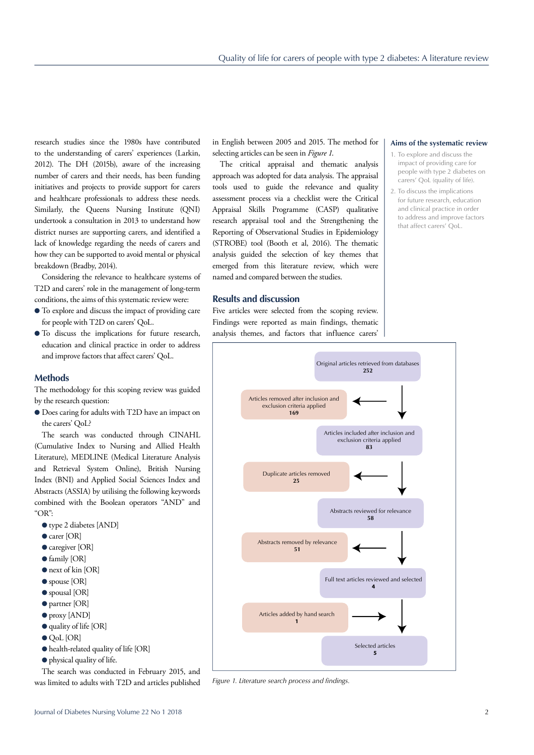research studies since the 1980s have contributed to the understanding of carers' experiences (Larkin, 2012). The DH (2015b), aware of the increasing number of carers and their needs, has been funding initiatives and projects to provide support for carers and healthcare professionals to address these needs. Similarly, the Queens Nursing Institute (QNI) undertook a consultation in 2013 to understand how district nurses are supporting carers, and identified a lack of knowledge regarding the needs of carers and how they can be supported to avoid mental or physical breakdown (Bradby, 2014).

Considering the relevance to healthcare systems of T2D and carers' role in the management of long-term conditions, the aims of this systematic review were:

- $\bullet$  To explore and discuss the impact of providing care for people with T2D on carers' QoL.
- $\bullet$  To discuss the implications for future research, education and clinical practice in order to address and improve factors that affect carers' QoL.

# **Methods**

The methodology for this scoping review was guided by the research question:

l Does caring for adults with T2D have an impact on the carers' QoL?

The search was conducted through CINAHL (Cumulative Index to Nursing and Allied Health Literature), MEDLINE (Medical Literature Analysis and Retrieval System Online), British Nursing Index (BNI) and Applied Social Sciences Index and Abstracts (ASSIA) by utilising the following keywords combined with the Boolean operators "AND" and "OR":

- type 2 diabetes [AND]
- carer [OR]
- $\bullet$  caregiver [OR]
- $\bullet$  family [OR]
- $\bullet$  next of kin [OR]
- $\bullet$  spouse [OR]
- $\bullet$  spousal [OR]
- **O** partner [OR]
- 
- $\bullet$  proxy [AND]
- $\bullet$  quality of life [OR]
- $\bullet$  QoL [OR]
- $\bullet$  health-related quality of life [OR]
- $\bullet$  physical quality of life.

The search was conducted in February 2015, and was limited to adults with T2D and articles published in English between 2005 and 2015. The method for selecting articles can be seen in *Figure 1*.

The critical appraisal and thematic analysis approach was adopted for data analysis. The appraisal tools used to guide the relevance and quality assessment process via a checklist were the Critical Appraisal Skills Programme (CASP) qualitative research appraisal tool and the Strengthening the Reporting of Observational Studies in Epidemiology (STROBE) tool (Booth et al, 2016). The thematic analysis guided the selection of key themes that emerged from this literature review, which were named and compared between the studies.

### **Results and discussion**

Five articles were selected from the scoping review. Findings were reported as main findings, thematic analysis themes, and factors that influence carers'

#### **Aims of the systematic review**

- 1. To explore and discuss the impact of providing care for people with type 2 diabetes on carers' QoL (quality of life).
- 2. To discuss the implications for future research, education and clinical practice in order to address and improve factors that affect carers' QoL.



*Figure 1. Literature search process and fndings.*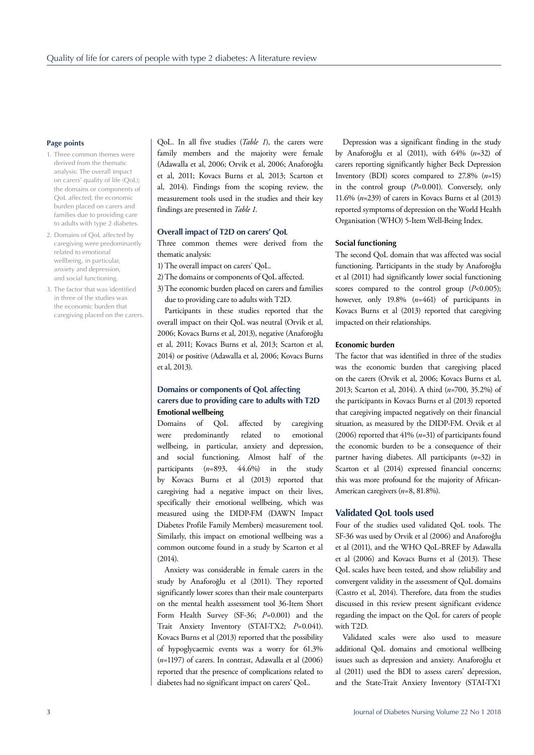#### **Page points**

- 1. Three common themes were derived from the thematic analysis: The overall impact on carers' quality of life (QoL); the domains or components of QoL affected; the economic burden placed on carers and families due to providing care to adults with type 2 diabetes.
- 2. Domains of QoL affected by caregiving were predominantly related to emotional wellbeing, in particular, anxiety and depression, and social functioning.
- 3. The factor that was identifed in three of the studies was the economic burden that caregiving placed on the carers.

QoL. In all five studies (*Table 1*), the carers were family members and the majority were female (Adawalla et al, 2006; Orvik et al, 2006; Anaforoğlu et al, 2011; Kovacs Burns et al, 2013; Scarton et al, 2014). Findings from the scoping review, the measurement tools used in the studies and their key findings are presented in *Table 1*.

# **Overall impact of T2D on carers' QoL**

Three common themes were derived from the thematic analysis:

- 1)The overall impact on carers' QoL.
- 2)The domains or components of QoL affected.
- 3)The economic burden placed on carers and families due to providing care to adults with T2D.

Participants in these studies reported that the overall impact on their QoL was neutral (Orvik et al, 2006; Kovacs Burns et al, 2013), negative (Anaforoğlu et al, 2011; Kovacs Burns et al, 2013; Scarton et al, 2014) or positive (Adawalla et al, 2006; Kovacs Burns et al, 2013).

# **Domains or components of QoL affecting carers due to providing care to adults with T2D Emotional wellbeing**

Domains of QoL affected by caregiving were predominantly related to emotional wellbeing, in particular, anxiety and depression, and social functioning. Almost half of the participants  $(n=893, 44.6%)$  in the study by Kovacs Burns et al (2013) reported that caregiving had a negative impact on their lives, specifically their emotional wellbeing, which was measured using the DIDP-FM (DAWN Impact Diabetes Profile Family Members) measurement tool. Similarly, this impact on emotional wellbeing was a common outcome found in a study by Scarton et al  $(2014)$ .

Anxiety was considerable in female carers in the study by Anaforoğlu et al (2011). They reported significantly lower scores than their male counterparts on the mental health assessment tool 36-Item Short Form Health Survey (SF-36; *P*=0.001) and the Trait Anxiety Inventory (STAI-TX2; *P*=0.041). Kovacs Burns et al (2013) reported that the possibility of hypoglycaemic events was a worry for 61.3% (*n*=1197) of carers. In contrast, Adawalla et al (2006) reported that the presence of complications related to diabetes had no significant impact on carers' QoL.

Depression was a significant finding in the study by Anaforoğlu et al (2011), with 64% (*n*=32) of carers reporting significantly higher Beck Depression Inventory (BDI) scores compared to 27.8% (*n*=15) in the control group (*P*=0.001). Conversely, only 11.6% (*n*=239) of carers in Kovacs Burns et al (2013) reported symptoms of depression on the World Health Organisation (WHO) 5-Item Well-Being Index.

#### **Social functioning**

The second QoL domain that was affected was social functioning. Participants in the study by Anaforoğlu et al (2011) had significantly lower social functioning scores compared to the control group (*P*<0.005); however, only 19.8% (*n*=461) of participants in Kovacs Burns et al (2013) reported that caregiving impacted on their relationships.

#### **Economic burden**

The factor that was identified in three of the studies was the economic burden that caregiving placed on the carers (Orvik et al, 2006; Kovacs Burns et al, 2013; Scarton et al, 2014). A third (*n*=700, 35.2%) of the participants in Kovacs Burns et al (2013) reported that caregiving impacted negatively on their financial situation, as measured by the DIDP-FM. Orvik et al (2006) reported that 41% (*n*=31) of participants found the economic burden to be a consequence of their partner having diabetes. All participants (*n*=32) in Scarton et al (2014) expressed financial concerns; this was more profound for the majority of African-American caregivers (*n*=8, 81.8%).

#### **Validated QoL tools used**

Four of the studies used validated QoL tools. The SF-36 was used by Orvik et al (2006) and Anaforoğlu et al (2011), and the WHO QoL-BREF by Adawalla et al (2006) and Kovacs Burns et al (2013). These QoL scales have been tested, and show reliability and convergent validity in the assessment of QoL domains (Castro et al, 2014). Therefore, data from the studies discussed in this review present significant evidence regarding the impact on the QoL for carers of people with T2D.

Validated scales were also used to measure additional QoL domains and emotional wellbeing issues such as depression and anxiety. Anaforoğlu et al (2011) used the BDI to assess carers' depression, and the State-Trait Anxiety Inventory (STAI-TX1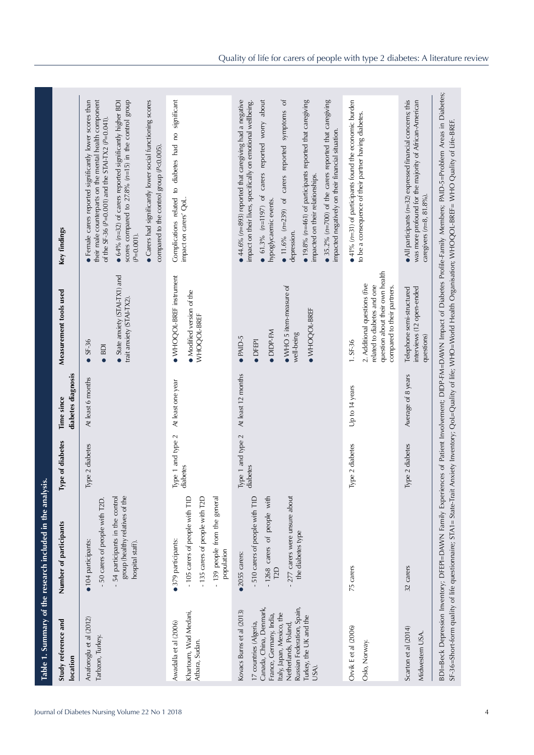| Study reference and<br>location                                                                                                        | Number of participants                                                                                                                  | ype of diabetes               | diabetes diagnosis<br>Time since | Measurement tools used                                                                                                                       | Key findings                                                                                                                                                                                                                                                                     |
|----------------------------------------------------------------------------------------------------------------------------------------|-----------------------------------------------------------------------------------------------------------------------------------------|-------------------------------|----------------------------------|----------------------------------------------------------------------------------------------------------------------------------------------|----------------------------------------------------------------------------------------------------------------------------------------------------------------------------------------------------------------------------------------------------------------------------------|
| Anaforoglu et al (2012)<br>Tarbzon, Turkey.                                                                                            | 50 carers of people with T2D.<br>• 104 participants:                                                                                    | Type 2 diabetes               | At least 6 months                | SF-36<br>$\bullet$ BDI                                                                                                                       | their male counterparts on the mental health component<br>• Female carers reported significantly lower scores than<br>of the SF-36 ( $P=0.001$ ) and the STAI-TX2 ( $P=0.041$ ).                                                                                                 |
|                                                                                                                                        | group (healthy relatives of the<br>54 participants in the control<br>hospital staff).                                                   |                               |                                  | State anxiety (STAI-TX1) and<br>trait anxiety (STAI-TX2).                                                                                    | scores compared to $27.8\%$ ( $n=15$ ) in the control group<br>$\bullet$ 64% (n=32) of carers reported significantly higher BDI<br>$(P=0.001)$ .                                                                                                                                 |
|                                                                                                                                        |                                                                                                                                         |                               |                                  |                                                                                                                                              | • Carers had significantly lower social functioning scores<br>compared to the control group $(P<0.005)$ .                                                                                                                                                                        |
| Khartoum, Wad Medani,<br>Awadalla et al (2006)<br>Atbara, Sudan.                                                                       | - 139 people from the general<br>- 135 carers of people with T2D<br>-105 carers of people with T1D<br>• 379 participants:<br>population | Type 1 and type 2<br>diabetes | At least one year                | WHOQOL-BREF instrument<br>• Modified version of the<br>WHOQOL-BREF                                                                           | Complications related to diabetes had no significant<br>impact on carers' QoL.                                                                                                                                                                                                   |
| Canada, China, Denmark,<br>Kovacs Burns et al (2013)<br>Italy, Japan, Mexico, the<br>France, Germany, India,<br>17 countries (Algeria, | 510 carers of people with T1D<br>-1268 carers of people with<br>•2055 carers:<br>T <sub>2</sub> D                                       | Type 1 and type 2<br>diabetes | At least 12 months               | DIDP-FM<br>$\bullet$ PAID-5<br><b>DFEPI</b>                                                                                                  | $\bullet$ 44.6% ( $n=893$ ) reported that caregiving had a negative<br>$\bullet$ 61.3% (n=1197) of carers reported worry about<br>$\bullet$ 11.6% (n=239) of carers reported symptoms of<br>impact on their lives, specifically on emotional wellbeing.<br>hypoglycaemic events. |
| Russian Federation, Spain,<br>Turkey, the UK and the<br>Netherlands, Poland,<br>USA).                                                  | - 277 carers were unsure about<br>the diabetes type                                                                                     |                               |                                  | $\bullet$ WHO 5 item-measure of<br>· WHOQOL-BREF<br>well-being                                                                               | $\bullet$ 19.8% (n=461) of participants reported that caregiving<br>impacted on their relationships.<br>depression.                                                                                                                                                              |
|                                                                                                                                        |                                                                                                                                         |                               |                                  |                                                                                                                                              | • 35.2% ( $n=700$ ) of the carers reported that caregiving<br>impacted negatively on their financial situation.                                                                                                                                                                  |
| Orvik E et al (2006)<br>Oslo, Norway.                                                                                                  | 75 carers                                                                                                                               | Type 2 diabetes               | Up to 14 years                   | question about their own health<br>2. Additional questions (five<br>related to diabetes and one<br>compared to their partners.<br>$1. SF-36$ | $\bullet$ 41% ( $n=31$ ) of participants found the economic burden<br>to be a consequence of their partner having diabetes.                                                                                                                                                      |
| Scarton et al (2014)<br>Midwestern USA.                                                                                                | 32 carers                                                                                                                               | Type 2 diabetes               | Average of 8 years               | interviews (12 open-ended<br>Telephone semi-structured<br>questions)                                                                         | $\bullet$ All participants ( $n=32$ ) expressed financial concerns; this<br>was more profound for the majority of African-American<br>caregivers (n=8, 81.8%).                                                                                                                   |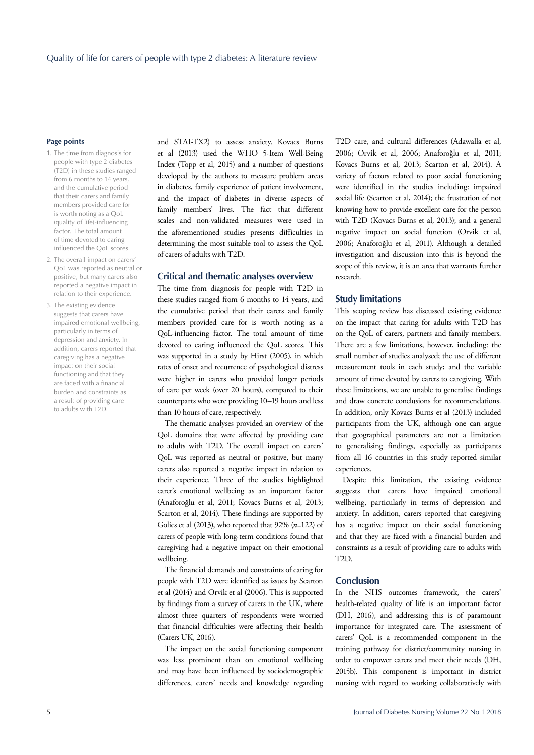# **Page points**

- 1. The time from diagnosis for people with type 2 diabetes (T2D) in these studies ranged from 6 months to 14 years, and the cumulative period that their carers and family members provided care for is worth noting as a QoL (quality of life)-infuencing factor. The total amount of time devoted to caring infuenced the QoL scores.
- 2. The overall impact on carers' QoL was reported as neutral or positive, but many carers also reported a negative impact in relation to their experience.
- 3. The existing evidence suggests that carers have impaired emotional wellbeing, particularly in terms of depression and anxiety. In addition, carers reported that caregiving has a negative impact on their social functioning and that they are faced with a financial burden and constraints as a result of providing care to adults with T2D.

and STAI-TX2) to assess anxiety. Kovacs Burns et al (2013) used the WHO 5-Item Well-Being Index (Topp et al, 2015) and a number of questions developed by the authors to measure problem areas in diabetes, family experience of patient involvement, and the impact of diabetes in diverse aspects of family members' lives. The fact that different scales and non-validated measures were used in the aforementioned studies presents difficulties in determining the most suitable tool to assess the QoL of carers of adults with T2D.

#### **Critical and thematic analyses overview**

The time from diagnosis for people with T2D in these studies ranged from 6 months to 14 years, and the cumulative period that their carers and family members provided care for is worth noting as a QoL-influencing factor. The total amount of time devoted to caring influenced the QoL scores. This was supported in a study by Hirst (2005), in which rates of onset and recurrence of psychological distress were higher in carers who provided longer periods of care per week (over 20 hours), compared to their counterparts who were providing 10–19 hours and less than 10 hours of care, respectively.

The thematic analyses provided an overview of the QoL domains that were affected by providing care to adults with T2D. The overall impact on carers' QoL was reported as neutral or positive, but many carers also reported a negative impact in relation to their experience. Three of the studies highlighted carer's emotional wellbeing as an important factor (Anaforoğlu et al, 2011; Kovacs Burns et al, 2013; Scarton et al, 2014). These findings are supported by Golics et al (2013), who reported that 92% (*n*=122) of carers of people with long-term conditions found that caregiving had a negative impact on their emotional wellbeing.

The financial demands and constraints of caring for people with T2D were identified as issues by Scarton et al (2014) and Orvik et al (2006). This is supported by findings from a survey of carers in the UK, where almost three quarters of respondents were worried that financial difficulties were affecting their health (Carers UK, 2016).

The impact on the social functioning component was less prominent than on emotional wellbeing and may have been influenced by sociodemographic differences, carers' needs and knowledge regarding T2D care, and cultural differences (Adawalla et al, 2006; Orvik et al, 2006; Anaforoğlu et al, 2011; Kovacs Burns et al, 2013; Scarton et al, 2014). A variety of factors related to poor social functioning were identified in the studies including: impaired social life (Scarton et al, 2014); the frustration of not knowing how to provide excellent care for the person with T2D (Kovacs Burns et al, 2013); and a general negative impact on social function (Orvik et al, 2006; Anaforoğlu et al, 2011). Although a detailed investigation and discussion into this is beyond the scope of this review, it is an area that warrants further research.

#### **Study limitations**

This scoping review has discussed existing evidence on the impact that caring for adults with T2D has on the QoL of carers, partners and family members. There are a few limitations, however, including: the small number of studies analysed; the use of different measurement tools in each study; and the variable amount of time devoted by carers to caregiving. With these limitations, we are unable to generalise findings and draw concrete conclusions for recommendations. In addition, only Kovacs Burns et al (2013) included participants from the UK, although one can argue that geographical parameters are not a limitation to generalising findings, especially as participants from all 16 countries in this study reported similar experiences.

Despite this limitation, the existing evidence suggests that carers have impaired emotional wellbeing, particularly in terms of depression and anxiety. In addition, carers reported that caregiving has a negative impact on their social functioning and that they are faced with a financial burden and constraints as a result of providing care to adults with T2D.

#### **Conclusion**

In the NHS outcomes framework, the carers' health-related quality of life is an important factor (DH, 2016), and addressing this is of paramount importance for integrated care. The assessment of carers' QoL is a recommended component in the training pathway for district/community nursing in order to empower carers and meet their needs (DH, 2015b). This component is important in district nursing with regard to working collaboratively with